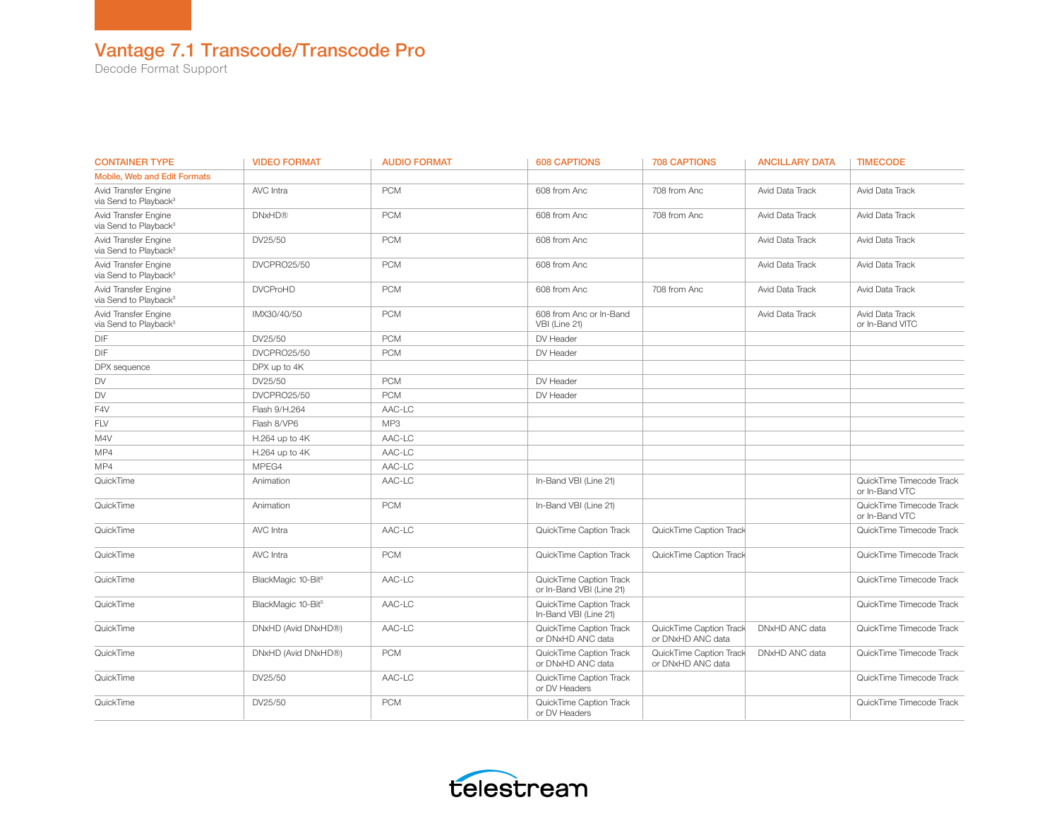#### Vantage 7.1 Transcode/Transcode Pro

Decode Format Support

| <b>CONTAINER TYPE</b>                                     | <b>VIDEO FORMAT</b>            | <b>AUDIO FORMAT</b> | <b>608 CAPTIONS</b>                                 | <b>708 CAPTIONS</b>                          | <b>ANCILLARY DATA</b> | <b>TIMECODE</b>                            |
|-----------------------------------------------------------|--------------------------------|---------------------|-----------------------------------------------------|----------------------------------------------|-----------------------|--------------------------------------------|
| <b>Mobile. Web and Edit Formats</b>                       |                                |                     |                                                     |                                              |                       |                                            |
| Avid Transfer Engine<br>via Send to Playback <sup>3</sup> | AVC Intra                      | <b>PCM</b>          | 608 from Anc                                        | 708 from Anc                                 | Avid Data Track       | Avid Data Track                            |
| Avid Transfer Engine<br>via Send to Playback <sup>3</sup> | <b>DNxHD®</b>                  | <b>PCM</b>          | 608 from Anc                                        | 708 from Anc                                 | Avid Data Track       | Avid Data Track                            |
| Avid Transfer Engine<br>via Send to Playback <sup>3</sup> | DV25/50                        | <b>PCM</b>          | 608 from Anc                                        |                                              | Avid Data Track       | Avid Data Track                            |
| Avid Transfer Engine<br>via Send to Playback <sup>3</sup> | DVCPRO25/50                    | <b>PCM</b>          | 608 from Anc                                        |                                              | Avid Data Track       | Avid Data Track                            |
| Avid Transfer Engine<br>via Send to Playback <sup>3</sup> | <b>DVCProHD</b>                | <b>PCM</b>          | 608 from Anc                                        | 708 from Anc                                 | Avid Data Track       | Avid Data Track                            |
| Avid Transfer Engine<br>via Send to Playback <sup>3</sup> | IMX30/40/50                    | <b>PCM</b>          | 608 from Anc or In-Band<br>VBI (Line 21)            |                                              | Avid Data Track       | Avid Data Track<br>or In-Band VITC         |
| DIF                                                       | DV25/50                        | <b>PCM</b>          | DV Header                                           |                                              |                       |                                            |
| DIF                                                       | DVCPRO25/50                    | <b>PCM</b>          | DV Header                                           |                                              |                       |                                            |
| DPX sequence                                              | DPX up to 4K                   |                     |                                                     |                                              |                       |                                            |
| DV                                                        | DV25/50                        | <b>PCM</b>          | DV Header                                           |                                              |                       |                                            |
| DV                                                        | DVCPRO25/50                    | <b>PCM</b>          | DV Header                                           |                                              |                       |                                            |
| F4V                                                       | Flash 9/H.264                  | AAC-LC              |                                                     |                                              |                       |                                            |
| FLV                                                       | Flash 8/VP6                    | MP3                 |                                                     |                                              |                       |                                            |
| M4V                                                       | H.264 up to 4K                 | AAC-LC              |                                                     |                                              |                       |                                            |
| MP4                                                       | H.264 up to 4K                 | AAC-LC              |                                                     |                                              |                       |                                            |
| MP4                                                       | MPEG4                          | AAC-LC              |                                                     |                                              |                       |                                            |
| QuickTime                                                 | Animation                      | AAC-LC              | In-Band VBI (Line 21)                               |                                              |                       | QuickTime Timecode Track<br>or In-Band VTC |
| QuickTime                                                 | Animation                      | <b>PCM</b>          | In-Band VBI (Line 21)                               |                                              |                       | QuickTime Timecode Track<br>or In-Band VTC |
| QuickTime                                                 | AVC Intra                      | AAC-LC              | QuickTime Caption Track                             | QuickTime Caption Track                      |                       | QuickTime Timecode Track                   |
| QuickTime                                                 | AVC Intra                      | <b>PCM</b>          | QuickTime Caption Track                             | QuickTime Caption Track                      |                       | QuickTime Timecode Track                   |
| QuickTime                                                 | BlackMagic 10-Bit <sup>5</sup> | AAC-LC              | QuickTime Caption Track<br>or In-Band VBI (Line 21) |                                              |                       | QuickTime Timecode Track                   |
| QuickTime                                                 | BlackMagic 10-Bit <sup>5</sup> | AAC-LC              | QuickTime Caption Track<br>In-Band VBI (Line 21)    |                                              |                       | QuickTime Timecode Track                   |
| QuickTime                                                 | DNxHD (Avid DNxHD®)            | AAC-LC              | QuickTime Caption Track<br>or DNxHD ANC data        | QuickTime Caption Track<br>or DNxHD ANC data | DNxHD ANC data        | QuickTime Timecode Track                   |
| QuickTime                                                 | DNxHD (Avid DNxHD®)            | <b>PCM</b>          | QuickTime Caption Track<br>or DNxHD ANC data        | QuickTime Caption Track<br>or DNxHD ANC data | DNxHD ANC data        | QuickTime Timecode Track                   |
| QuickTime                                                 | DV25/50                        | AAC-LC              | QuickTime Caption Track<br>or DV Headers            |                                              |                       | QuickTime Timecode Track                   |
| QuickTime                                                 | DV25/50                        | <b>PCM</b>          | QuickTime Caption Track<br>or DV Headers            |                                              |                       | QuickTime Timecode Track                   |

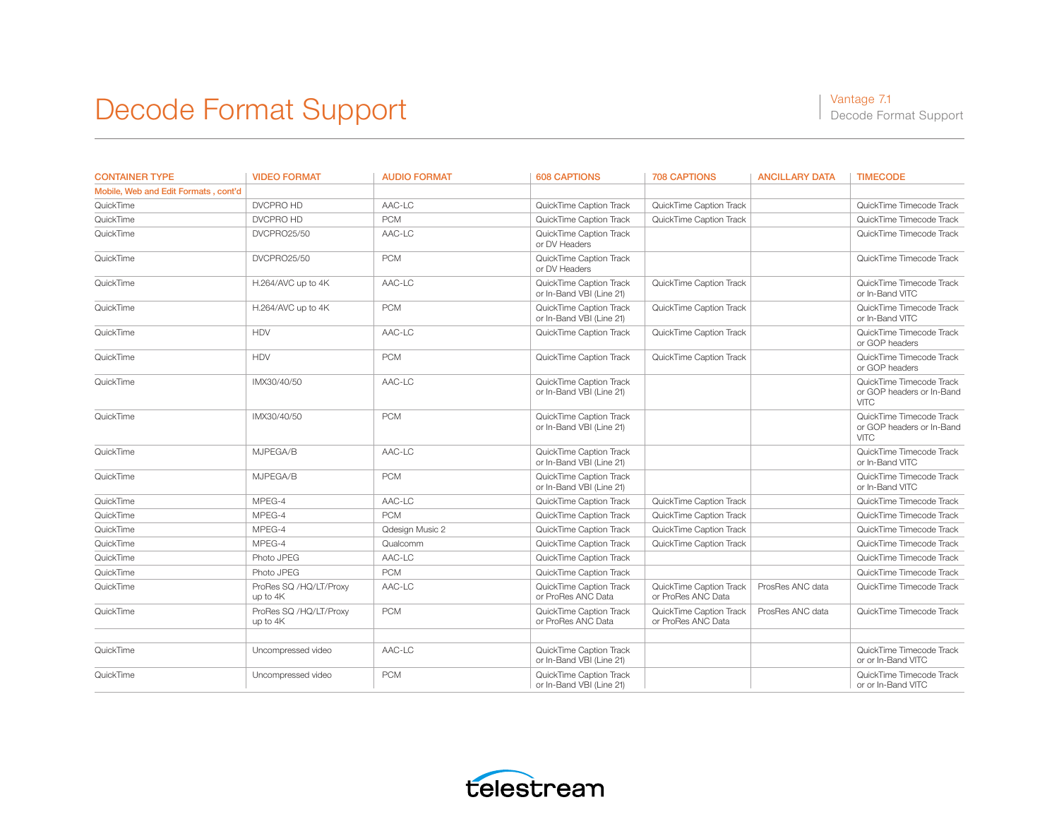| <b>CONTAINER TYPE</b>                | <b>VIDEO FORMAT</b>                | <b>AUDIO FORMAT</b> | <b>608 CAPTIONS</b>                                 | <b>708 CAPTIONS</b>                           | <b>ANCILLARY DATA</b> | <b>TIMECODE</b>                                                           |
|--------------------------------------|------------------------------------|---------------------|-----------------------------------------------------|-----------------------------------------------|-----------------------|---------------------------------------------------------------------------|
| Mobile, Web and Edit Formats, cont'd |                                    |                     |                                                     |                                               |                       |                                                                           |
| QuickTime                            | DVCPRO HD                          | AAC-LC              | QuickTime Caption Track                             | QuickTime Caption Track                       |                       | QuickTime Timecode Track                                                  |
| QuickTime                            | DVCPRO HD                          | <b>PCM</b>          | QuickTime Caption Track                             | QuickTime Caption Track                       |                       | QuickTime Timecode Track                                                  |
| QuickTime                            | <b>DVCPRO25/50</b>                 | AAC-LC              | QuickTime Caption Track<br>or DV Headers            |                                               |                       | QuickTime Timecode Track                                                  |
| QuickTime                            | <b>DVCPRO25/50</b>                 | <b>PCM</b>          | QuickTime Caption Track<br>or DV Headers            |                                               |                       | QuickTime Timecode Track                                                  |
| QuickTime                            | H.264/AVC up to 4K                 | AAC-LC              | QuickTime Caption Track<br>or In-Band VBI (Line 21) | QuickTime Caption Track                       |                       | QuickTime Timecode Track<br>or In-Band VITC                               |
| QuickTime                            | H.264/AVC up to 4K                 | <b>PCM</b>          | QuickTime Caption Track<br>or In-Band VBI (Line 21) | QuickTime Caption Track                       |                       | QuickTime Timecode Track<br>or In-Band VITC                               |
| QuickTime                            | <b>HDV</b>                         | AAC-LC              | QuickTime Caption Track                             | QuickTime Caption Track                       |                       | QuickTime Timecode Track<br>or GOP headers                                |
| QuickTime                            | <b>HDV</b>                         | <b>PCM</b>          | QuickTime Caption Track                             | QuickTime Caption Track                       |                       | QuickTime Timecode Track<br>or GOP headers                                |
| QuickTime                            | IMX30/40/50                        | AAC-LC              | QuickTime Caption Track<br>or In-Band VBI (Line 21) |                                               |                       | QuickTime Timecode Track<br>or GOP headers or In-Band<br><b>VITC</b>      |
| QuickTime                            | IMX30/40/50                        | <b>PCM</b>          | QuickTime Caption Track<br>or In-Band VBI (Line 21) |                                               |                       | QuickTime Timecode Track<br>or GOP headers or In-Band<br>VITC <sub></sub> |
| QuickTime                            | MJPEGA/B                           | AAC-LC              | QuickTime Caption Track<br>or In-Band VBI (Line 21) |                                               |                       | QuickTime Timecode Track<br>or In-Band VITC                               |
| QuickTime                            | MJPEGA/B                           | <b>PCM</b>          | QuickTime Caption Track<br>or In-Band VBI (Line 21) |                                               |                       | QuickTime Timecode Track<br>or In-Band VITC                               |
| QuickTime                            | MPEG-4                             | AAC-LC              | QuickTime Caption Track                             | QuickTime Caption Track                       |                       | QuickTime Timecode Track                                                  |
| QuickTime                            | MPEG-4                             | <b>PCM</b>          | QuickTime Caption Track                             | QuickTime Caption Track                       |                       | QuickTime Timecode Track                                                  |
| QuickTime                            | MPEG-4                             | Qdesign Music 2     | QuickTime Caption Track                             | QuickTime Caption Track                       |                       | QuickTime Timecode Track                                                  |
| QuickTime                            | MPEG-4                             | Qualcomm            | QuickTime Caption Track                             | QuickTime Caption Track                       |                       | QuickTime Timecode Track                                                  |
| QuickTime                            | Photo JPEG                         | AAC-LC              | QuickTime Caption Track                             |                                               |                       | QuickTime Timecode Track                                                  |
| QuickTime                            | Photo JPEG                         | <b>PCM</b>          | QuickTime Caption Track                             |                                               |                       | QuickTime Timecode Track                                                  |
| QuickTime                            | ProRes SQ /HQ/LT/Proxy<br>up to 4K | AAC-LC              | QuickTime Caption Track<br>or ProRes ANC Data       | QuickTime Caption Track<br>or ProRes ANC Data | ProsRes ANC data      | QuickTime Timecode Track                                                  |
| QuickTime                            | ProRes SQ /HQ/LT/Proxy<br>up to 4K | <b>PCM</b>          | QuickTime Caption Track<br>or ProRes ANC Data       | QuickTime Caption Track<br>or ProRes ANC Data | ProsRes ANC data      | QuickTime Timecode Track                                                  |
| QuickTime                            | Uncompressed video                 | AAC-LC              | QuickTime Caption Track<br>or In-Band VBI (Line 21) |                                               |                       | QuickTime Timecode Track<br>or or In-Band VITC                            |
| QuickTime                            | Uncompressed video                 | <b>PCM</b>          | QuickTime Caption Track<br>or In-Band VBI (Line 21) |                                               |                       | QuickTime Timecode Track<br>or or In-Band VITC                            |

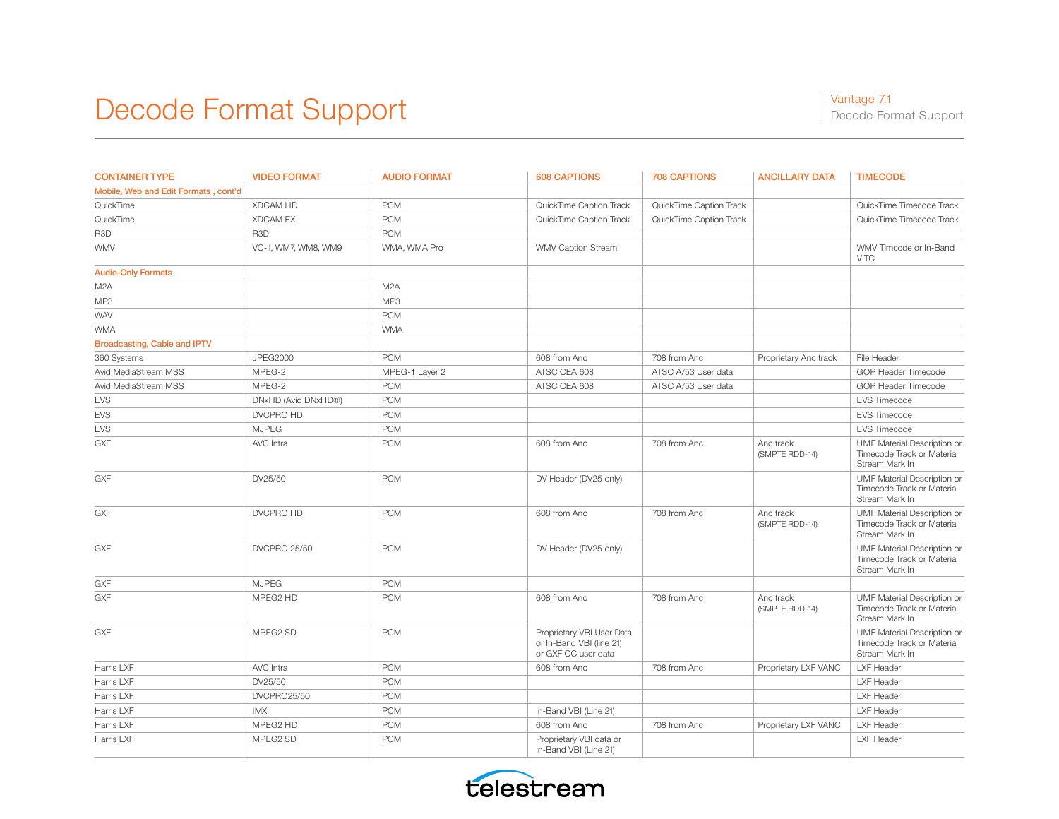| <b>CONTAINER TYPE</b>                | <b>VIDEO FORMAT</b> | <b>AUDIO FORMAT</b> | <b>608 CAPTIONS</b>                                                          | <b>708 CAPTIONS</b>     | <b>ANCILLARY DATA</b>       | <b>TIMECODE</b>                                                             |
|--------------------------------------|---------------------|---------------------|------------------------------------------------------------------------------|-------------------------|-----------------------------|-----------------------------------------------------------------------------|
| Mobile, Web and Edit Formats, cont'd |                     |                     |                                                                              |                         |                             |                                                                             |
| QuickTime                            | <b>XDCAM HD</b>     | <b>PCM</b>          | QuickTime Caption Track                                                      | QuickTime Caption Track |                             | QuickTime Timecode Track                                                    |
| QuickTime                            | <b>XDCAM EX</b>     | <b>PCM</b>          | QuickTime Caption Track                                                      | QuickTime Caption Track |                             | QuickTime Timecode Track                                                    |
| R <sub>3</sub> D                     | R <sub>3</sub> D    | <b>PCM</b>          |                                                                              |                         |                             |                                                                             |
| <b>WMV</b>                           | VC-1, WM7, WM8, WM9 | WMA, WMA Pro        | WMV Caption Stream                                                           |                         |                             | WMV Timcode or In-Band<br><b>VITC</b>                                       |
| <b>Audio-Only Formats</b>            |                     |                     |                                                                              |                         |                             |                                                                             |
| M <sub>2</sub> A                     |                     | M2A                 |                                                                              |                         |                             |                                                                             |
| MP3                                  |                     | MP3                 |                                                                              |                         |                             |                                                                             |
| <b>WAV</b>                           |                     | <b>PCM</b>          |                                                                              |                         |                             |                                                                             |
| <b>WMA</b>                           |                     | <b>WMA</b>          |                                                                              |                         |                             |                                                                             |
| <b>Broadcasting, Cable and IPTV</b>  |                     |                     |                                                                              |                         |                             |                                                                             |
| 360 Systems                          | <b>JPEG2000</b>     | <b>PCM</b>          | 608 from Anc                                                                 | 708 from Anc            | Proprietary Anc track       | File Header                                                                 |
| Avid MediaStream MSS                 | MPEG-2              | MPEG-1 Layer 2      | ATSC CEA 608                                                                 | ATSC A/53 User data     |                             | GOP Header Timecode                                                         |
| Avid MediaStream MSS                 | MPEG-2              | <b>PCM</b>          | ATSC CEA 608                                                                 | ATSC A/53 User data     |                             | GOP Header Timecode                                                         |
| <b>EVS</b>                           | DNxHD (Avid DNxHD®) | <b>PCM</b>          |                                                                              |                         |                             | EVS Timecode                                                                |
| <b>EVS</b>                           | DVCPRO HD           | <b>PCM</b>          |                                                                              |                         |                             | EVS Timecode                                                                |
| <b>EVS</b>                           | <b>MJPEG</b>        | <b>PCM</b>          |                                                                              |                         |                             | EVS Timecode                                                                |
| <b>GXF</b>                           | AVC Intra           | <b>PCM</b>          | 608 from Anc                                                                 | 708 from Anc            | Anc track<br>(SMPTE RDD-14) | UMF Material Description or<br>Timecode Track or Material<br>Stream Mark In |
| <b>GXF</b>                           | DV25/50             | <b>PCM</b>          | DV Header (DV25 only)                                                        |                         |                             | UMF Material Description or<br>Timecode Track or Material<br>Stream Mark In |
| <b>GXF</b>                           | DVCPRO HD           | <b>PCM</b>          | 608 from Anc                                                                 | 708 from Anc            | Anc track<br>(SMPTE RDD-14) | UMF Material Description or<br>Timecode Track or Material<br>Stream Mark In |
| <b>GXF</b>                           | <b>DVCPRO 25/50</b> | <b>PCM</b>          | DV Header (DV25 only)                                                        |                         |                             | UMF Material Description or<br>Timecode Track or Material<br>Stream Mark In |
| <b>GXF</b>                           | <b>MJPEG</b>        | <b>PCM</b>          |                                                                              |                         |                             |                                                                             |
| <b>GXF</b>                           | MPEG2 HD            | <b>PCM</b>          | 608 from Anc                                                                 | 708 from Anc            | Anc track<br>(SMPTE RDD-14) | UMF Material Description or<br>Timecode Track or Material<br>Stream Mark In |
| <b>GXF</b>                           | MPEG2 SD            | <b>PCM</b>          | Proprietary VBI User Data<br>or In-Band VBI (line 21)<br>or GXF CC user data |                         |                             | UMF Material Description or<br>Timecode Track or Material<br>Stream Mark In |
| Harris LXF                           | AVC Intra           | <b>PCM</b>          | 608 from Anc                                                                 | 708 from Anc            | Proprietary LXF VANC        | LXF Header                                                                  |
| Harris LXF                           | DV25/50             | <b>PCM</b>          |                                                                              |                         |                             | LXF Header                                                                  |
| Harris LXF                           | DVCPRO25/50         | <b>PCM</b>          |                                                                              |                         |                             | LXF Header                                                                  |
| Harris LXF                           | <b>IMX</b>          | <b>PCM</b>          | In-Band VBI (Line 21)                                                        |                         |                             | LXF Header                                                                  |
| Harris LXF                           | MPEG2 HD            | <b>PCM</b>          | 608 from Anc                                                                 | 708 from Anc            | Proprietary LXF VANC        | LXF Header                                                                  |
| Harris LXF                           | MPEG2 SD            | <b>PCM</b>          | Proprietary VBI data or<br>In-Band VBI (Line 21)                             |                         |                             | <b>LXF Header</b>                                                           |

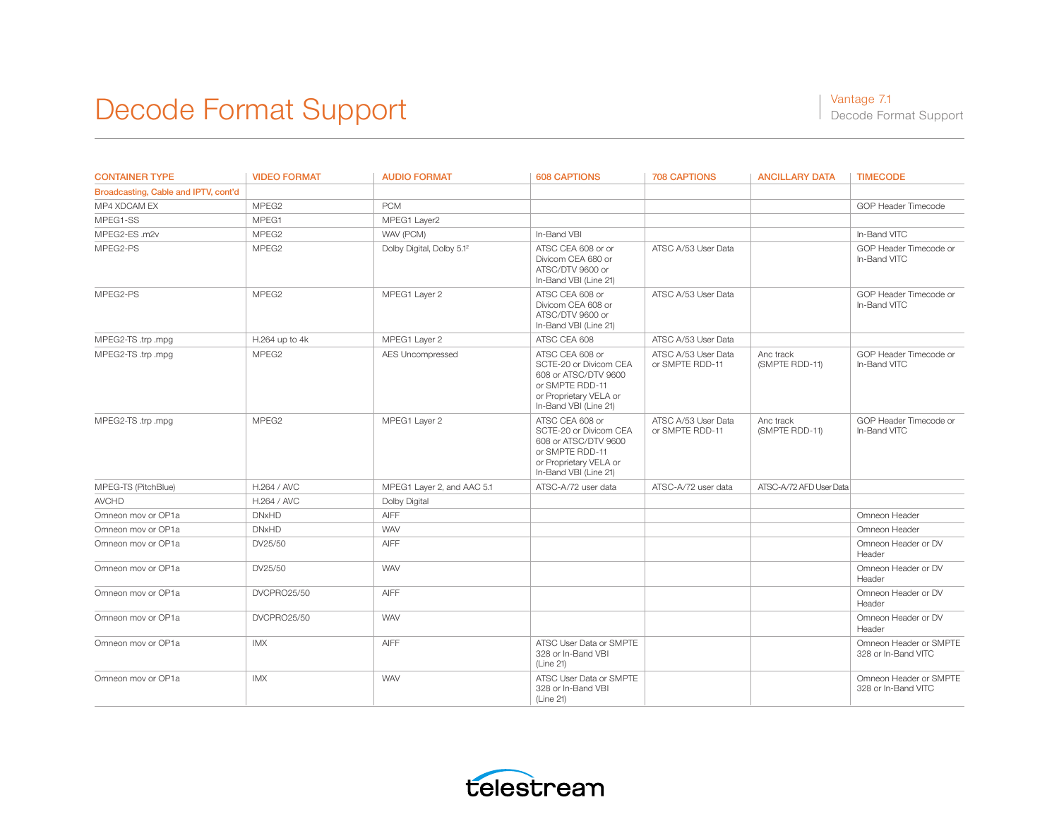| <b>CONTAINER TYPE</b>                | <b>VIDEO FORMAT</b> | <b>AUDIO FORMAT</b>                   | <b>608 CAPTIONS</b>                                                                                                                     | <b>708 CAPTIONS</b>                    | <b>ANCILLARY DATA</b>       | <b>TIMECODE</b>                               |
|--------------------------------------|---------------------|---------------------------------------|-----------------------------------------------------------------------------------------------------------------------------------------|----------------------------------------|-----------------------------|-----------------------------------------------|
| Broadcasting, Cable and IPTV, cont'd |                     |                                       |                                                                                                                                         |                                        |                             |                                               |
| MP4 XDCAM EX                         | MPEG <sub>2</sub>   | <b>PCM</b>                            |                                                                                                                                         |                                        |                             | GOP Header Timecode                           |
| MPFG1-SS                             | MPEG1               | MPEG1 Layer2                          |                                                                                                                                         |                                        |                             |                                               |
| MPEG2-ES .m2v                        | MPEG <sub>2</sub>   | WAV (PCM)                             | In-Band VBI                                                                                                                             |                                        |                             | In-Band VITC                                  |
| MPEG2-PS                             | MPEG <sub>2</sub>   | Dolby Digital, Dolby 5.1 <sup>2</sup> | ATSC CEA 608 or or<br>Divicom CEA 680 or<br>ATSC/DTV 9600 or<br>In-Band VBI (Line 21)                                                   | ATSC A/53 User Data                    |                             | GOP Header Timecode or<br>In-Band VITC        |
| MPEG2-PS                             | MPEG <sub>2</sub>   | MPEG1 Layer 2                         | ATSC CEA 608 or<br>Divicom CEA 608 or<br>ATSC/DTV 9600 or<br>In-Band VBI (Line 21)                                                      | ATSC A/53 User Data                    |                             | GOP Header Timecode or<br>In-Band VITC        |
| MPEG2-TS .trp .mpg                   | H.264 up to 4k      | MPEG1 Layer 2                         | ATSC CEA 608                                                                                                                            | ATSC A/53 User Data                    |                             |                                               |
| MPEG2-TS .trp .mpg                   | MPEG <sub>2</sub>   | AES Uncompressed                      | ATSC CEA 608 or<br>SCTE-20 or Divicom CEA<br>608 or ATSC/DTV 9600<br>or SMPTE RDD-11<br>or Proprietary VELA or<br>In-Band VBI (Line 21) | ATSC A/53 User Data<br>or SMPTE RDD-11 | Anc track<br>(SMPTE RDD-11) | GOP Header Timecode or<br>In-Band VITC        |
| MPEG2-TS .trp .mpg                   | MPEG <sub>2</sub>   | MPEG1 Layer 2                         | ATSC CEA 608 or<br>SCTE-20 or Divicom CEA<br>608 or ATSC/DTV 9600<br>or SMPTE RDD-11<br>or Proprietary VELA or<br>In-Band VBI (Line 21) | ATSC A/53 User Data<br>or SMPTE RDD-11 | Anc track<br>(SMPTE RDD-11) | GOP Header Timecode or<br>In-Band VITC        |
| MPEG-TS (PitchBlue)                  | H.264 / AVC         | MPEG1 Layer 2, and AAC 5.1            | ATSC-A/72 user data                                                                                                                     | ATSC-A/72 user data                    | ATSC-A/72 AFD User Data     |                                               |
| <b>AVCHD</b>                         | H.264 / AVC         | Dolby Digital                         |                                                                                                                                         |                                        |                             |                                               |
| Omneon mov or OP1a                   | <b>DNxHD</b>        | <b>AIFF</b>                           |                                                                                                                                         |                                        |                             | Omneon Header                                 |
| Omneon mov or OP1a                   | <b>DNxHD</b>        | <b>WAV</b>                            |                                                                                                                                         |                                        |                             | Omneon Header                                 |
| Omneon mov or OP1a                   | DV25/50             | <b>AIFF</b>                           |                                                                                                                                         |                                        |                             | Omneon Header or DV<br>Header                 |
| Omneon mov or OP1a                   | DV25/50             | <b>WAV</b>                            |                                                                                                                                         |                                        |                             | Omneon Header or DV<br>Header                 |
| Omneon mov or OP1a                   | DVCPRO25/50         | <b>AIFF</b>                           |                                                                                                                                         |                                        |                             | Omneon Header or DV<br>Header                 |
| Omneon mov or OP1a                   | DVCPRO25/50         | <b>WAV</b>                            |                                                                                                                                         |                                        |                             | Omneon Header or DV<br>Header                 |
| Omneon mov or OP1a                   | IMX                 | <b>AIFF</b>                           | ATSC User Data or SMPTE<br>328 or In-Band VBI<br>(Line 21)                                                                              |                                        |                             | Omneon Header or SMPTE<br>328 or In-Band VITC |
| Omneon mov or OP1a                   | <b>IMX</b>          | <b>WAV</b>                            | ATSC User Data or SMPTE<br>328 or In-Band VBI<br>(Line 21)                                                                              |                                        |                             | Omneon Header or SMPTE<br>328 or In-Band VITC |

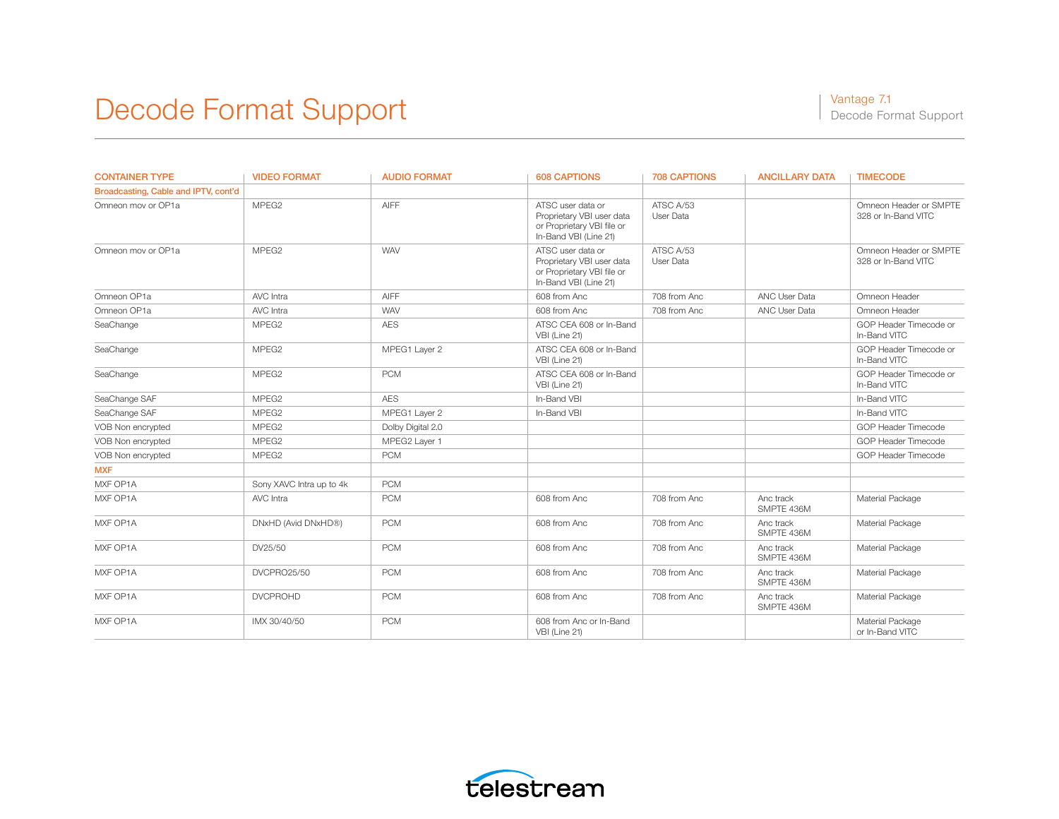| <b>CONTAINER TYPE</b>                | <b>VIDEO FORMAT</b>      | <b>AUDIO FORMAT</b> | <b>608 CAPTIONS</b>                                                                                   | <b>708 CAPTIONS</b>    | <b>ANCILLARY DATA</b>   | <b>TIMECODE</b>                               |
|--------------------------------------|--------------------------|---------------------|-------------------------------------------------------------------------------------------------------|------------------------|-------------------------|-----------------------------------------------|
| Broadcasting, Cable and IPTV, cont'd |                          |                     |                                                                                                       |                        |                         |                                               |
| Omneon mov or OP1a                   | MPEG2                    | AIFF                | ATSC user data or<br>Proprietary VBI user data<br>or Proprietary VBI file or<br>In-Band VBI (Line 21) | ATSC A/53<br>User Data |                         | Omneon Header or SMPTE<br>328 or In-Band VITC |
| Omneon mov or OP1a                   | MPEG <sub>2</sub>        | <b>WAV</b>          | ATSC user data or<br>Proprietary VBI user data<br>or Proprietary VBI file or<br>In-Band VBI (Line 21) | ATSC A/53<br>User Data |                         | Omneon Header or SMPTE<br>328 or In-Band VITC |
| Omneon OP1a                          | AVC Intra                | <b>AIFF</b>         | 608 from Anc                                                                                          | 708 from Anc           | ANC User Data           | Omneon Header                                 |
| Omneon OP1a                          | AVC Intra                | <b>WAV</b>          | 608 from Anc                                                                                          | 708 from Anc           | ANC User Data           | Omneon Header                                 |
| SeaChange                            | MPEG <sub>2</sub>        | <b>AES</b>          | ATSC CEA 608 or In-Band<br>VBI (Line 21)                                                              |                        |                         | GOP Header Timecode or<br>In-Band VITC        |
| SeaChange                            | MPEG <sub>2</sub>        | MPEG1 Layer 2       | ATSC CEA 608 or In-Band<br>VBI (Line 21)                                                              |                        |                         | GOP Header Timecode or<br>In-Band VITC        |
| SeaChange                            | MPEG <sub>2</sub>        | <b>PCM</b>          | ATSC CEA 608 or In-Band<br>VBI (Line 21)                                                              |                        |                         | GOP Header Timecode or<br>In-Band VITC        |
| SeaChange SAF                        | MPEG <sub>2</sub>        | <b>AES</b>          | In-Band VBI                                                                                           |                        |                         | In-Band VITC                                  |
| SeaChange SAF                        | MPEG <sub>2</sub>        | MPEG1 Layer 2       | In-Band VBI                                                                                           |                        |                         | In-Band VITC                                  |
| VOB Non encrypted                    | MPEG <sub>2</sub>        | Dolby Digital 2.0   |                                                                                                       |                        |                         | GOP Header Timecode                           |
| VOB Non encrypted                    | MPEG <sub>2</sub>        | MPEG2 Layer 1       |                                                                                                       |                        |                         | GOP Header Timecode                           |
| VOB Non encrypted                    | MPFG <sub>2</sub>        | <b>PCM</b>          |                                                                                                       |                        |                         | GOP Header Timecode                           |
| <b>MXF</b>                           |                          |                     |                                                                                                       |                        |                         |                                               |
| MXF OP1A                             | Sony XAVC Intra up to 4k | <b>PCM</b>          |                                                                                                       |                        |                         |                                               |
| MXF OP1A                             | AVC Intra                | <b>PCM</b>          | 608 from Anc                                                                                          | 708 from Anc           | Anc track<br>SMPTE 436M | Material Package                              |
| MXF OP1A                             | DNxHD (Avid DNxHD®)      | <b>PCM</b>          | 608 from Anc                                                                                          | 708 from Anc           | Anc track<br>SMPTE 436M | Material Package                              |
| MXF OP1A                             | DV25/50                  | <b>PCM</b>          | 608 from Anc                                                                                          | 708 from Anc           | Anc track<br>SMPTE 436M | Material Package                              |
| MXF OP1A                             | DVCPRO25/50              | <b>PCM</b>          | 608 from Anc                                                                                          | 708 from Anc           | Anc track<br>SMPTE 436M | Material Package                              |
| MXF OP1A                             | <b>DVCPROHD</b>          | <b>PCM</b>          | 608 from Anc                                                                                          | 708 from Anc           | Anc track<br>SMPTE 436M | Material Package                              |
| MXF OP1A                             | IMX 30/40/50             | <b>PCM</b>          | 608 from Anc or In-Band<br>VBI (Line 21)                                                              |                        |                         | Material Package<br>or In-Band VITC           |